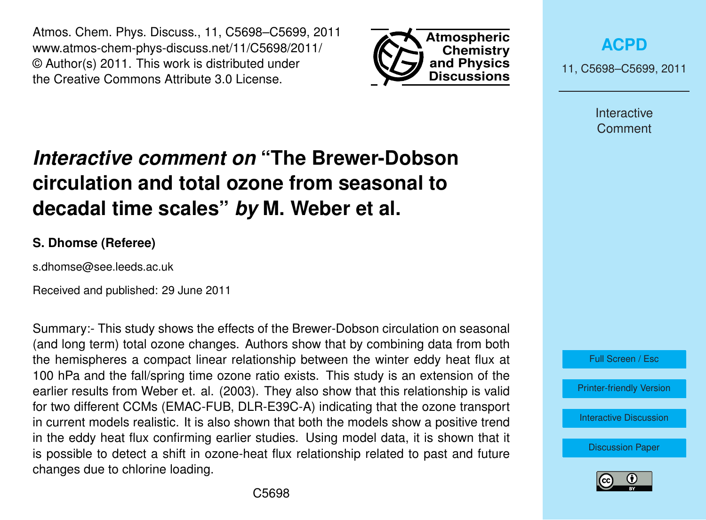Atmos. Chem. Phys. Discuss., 11, C5698–C5699, 2011 www.atmos-chem-phys-discuss.net/11/C5698/2011/ © Author(s) 2011. This work is distributed under the Creative Commons Attribute 3.0 License.



**[ACPD](http://www.atmos-chem-phys-discuss.net)**

11, C5698–C5699, 2011

Interactive **Comment** 

## *Interactive comment on* **"The Brewer-Dobson circulation and total ozone from seasonal to decadal time scales"** *by* **M. Weber et al.**

## **S. Dhomse (Referee)**

s.dhomse@see.leeds.ac.uk

Received and published: 29 June 2011

Summary:- This study shows the effects of the Brewer-Dobson circulation on seasonal (and long term) total ozone changes. Authors show that by combining data from both the hemispheres a compact linear relationship between the winter eddy heat flux at 100 hPa and the fall/spring time ozone ratio exists. This study is an extension of the earlier results from Weber et. al. (2003). They also show that this relationship is valid for two different CCMs (EMAC-FUB, DLR-E39C-A) indicating that the ozone transport in current models realistic. It is also shown that both the models show a positive trend in the eddy heat flux confirming earlier studies. Using model data, it is shown that it is possible to detect a shift in ozone-heat flux relationship related to past and future changes due to chlorine loading.